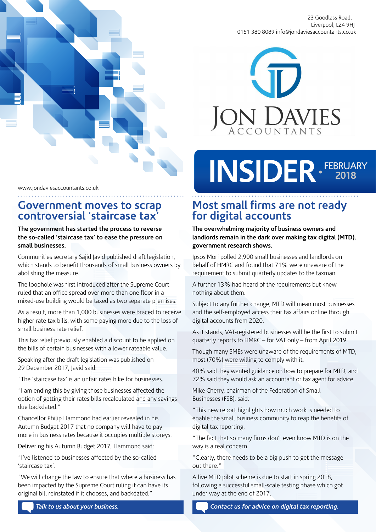



# INSIDER · FEBRUARY

#### www.jondaviesaccountants.co.uk

## **Government moves to scrap controversial 'staircase tax'**

#### **The government has started the process to reverse the so-called 'staircase tax' to ease the pressure on small businesses.**

Communities secretary Sajid Javid published draft legislation, which stands to benefit thousands of small business owners by abolishing the measure.

The loophole was first introduced after the Supreme Court ruled that an office spread over more than one floor in a mixed-use building would be taxed as two separate premises.

As a result, more than 1,000 businesses were braced to receive higher rate tax bills, with some paying more due to the loss of small business rate relief.

This tax relief previously enabled a discount to be applied on the bills of certain businesses with a lower rateable value.

Speaking after the draft legislation was published on 29 December 2017, Javid said:

"The 'staircase tax' is an unfair rates hike for businesses.

"I am ending this by giving those businesses affected the option of getting their rates bills recalculated and any savings due backdated."

Chancellor Philip Hammond had earlier revealed in his Autumn Budget 2017 that no company will have to pay more in business rates because it occupies multiple storeys.

Delivering his Autumn Budget 2017, Hammond said:

"I've listened to businesses affected by the so-called 'staircase tax'.

"We will change the law to ensure that where a business has been impacted by the Supreme Court ruling it can have its original bill reinstated if it chooses, and backdated."

## **Most small firms are not ready for digital accounts**

**The overwhelming majority of business owners and landlords remain in the dark over making tax digital (MTD), government research shows.** 

Ipsos Mori polled 2,900 small businesses and landlords on behalf of HMRC and found that 71% were unaware of the requirement to submit quarterly updates to the taxman.

A further 13% had heard of the requirements but knew nothing about them.

Subject to any further change, MTD will mean most businesses and the self-employed access their tax affairs online through digital accounts from 2020.

As it stands, VAT-registered businesses will be the first to submit quarterly reports to HMRC – for VAT only – from April 2019.

Though many SMEs were unaware of the requirements of MTD, most (70%) were willing to comply with it.

40% said they wanted guidance on how to prepare for MTD, and 72% said they would ask an accountant or tax agent for advice.

Mike Cherry, chairman of the Federation of Small Businesses (FSB), said:

"This new report highlights how much work is needed to enable the small business community to reap the benefits of digital tax reporting.

"The fact that so many firms don't even know MTD is on the way is a real concern.

"Clearly, there needs to be a big push to get the message out there."

A live MTD pilot scheme is due to start in spring 2018, following a successful small-scale testing phase which got under way at the end of 2017.